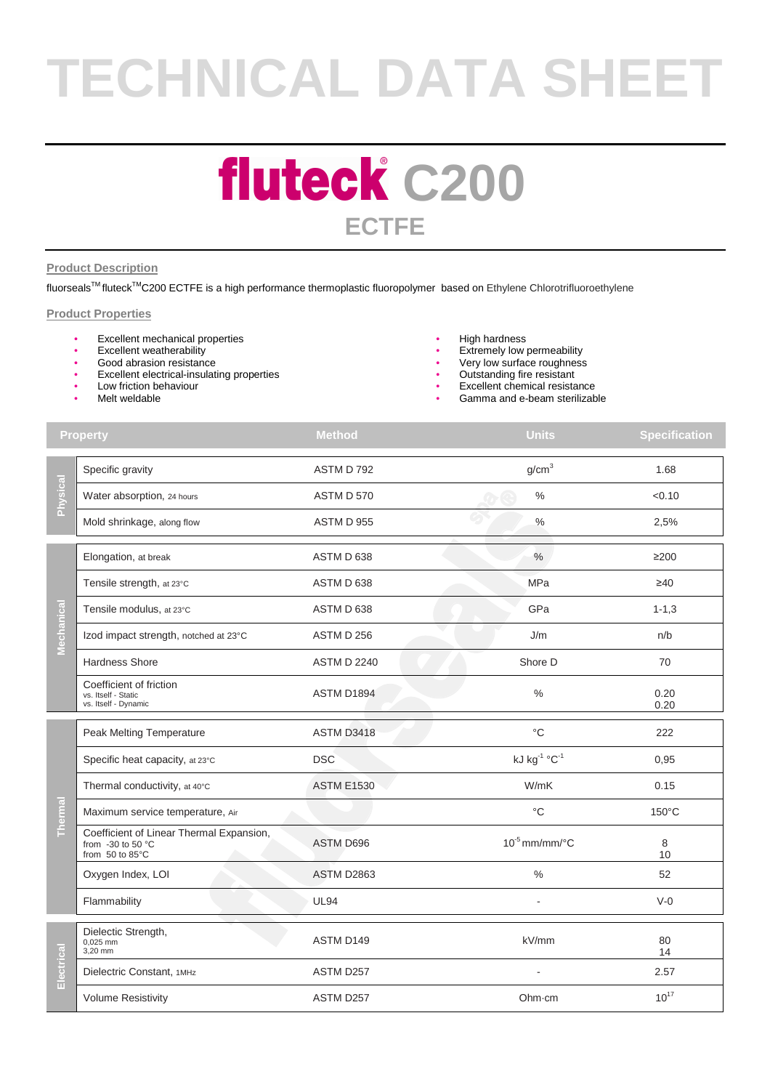# **TECHNICAL DATA SHEET**

### **fluteck** C200 **ECTFE**

### **Product Description**

fluorsealsTM fluteckTMC200 ECTFE is a high performance thermoplastic fluoropolymer based on Ethylene Chlorotrifluoroethylene

### **Product Properties**

- **Excellent mechanical properties**
- Excellent weatherability<br>• Good abrasion resistance
- Good abrasion resistance
- Excellent electrical-insulating properties
- Low friction behaviour
- Melt weldable
- High hardness
- Extremely low permeability
- Very low surface roughness
- Outstanding fire resistant
- Excellent chemical resistance
- Gamma and e-beam sterilizable

| <b>Property</b> |                                                                                    | <b>Method</b>      | <b>Units</b>       | <b>Specification</b> |
|-----------------|------------------------------------------------------------------------------------|--------------------|--------------------|----------------------|
| Physical        | Specific gravity                                                                   | ASTM D 792         | g/cm <sup>3</sup>  | 1.68                 |
|                 | Water absorption, 24 hours                                                         | ASTM D 570         | $\frac{0}{0}$      | < 0.10               |
|                 | Mold shrinkage, along flow                                                         | ASTM D 955         | $\%$               | 2,5%                 |
| Mechanical      | Elongation, at break                                                               | ASTM D 638         | $\%$               | $\geq$ 200           |
|                 | Tensile strength, at 23°C                                                          | ASTM D 638         | MPa                | $\geq 40$            |
|                 | Tensile modulus, at 23°C                                                           | ASTM D 638         | GPa                | $1 - 1, 3$           |
|                 | Izod impact strength, notched at 23°C                                              | ASTM D 256         | J/m                | n/b                  |
|                 | Hardness Shore                                                                     | <b>ASTM D 2240</b> | Shore D            | 70                   |
|                 | Coefficient of friction<br>vs. Itself - Static<br>vs. Itself - Dynamic             | ASTM D1894         | $\frac{0}{0}$      | 0.20<br>0.20         |
| Thermal         | Peak Melting Temperature                                                           | ASTM D3418         | $^{\circ}$ C       | 222                  |
|                 | Specific heat capacity, at 23°C                                                    | <b>DSC</b>         | kJ kg-1 °C-1       | 0,95                 |
|                 | Thermal conductivity, at 40°C                                                      | <b>ASTM E1530</b>  | W/mK               | 0.15                 |
|                 | Maximum service temperature, Air                                                   |                    | $^{\circ}C$        | $150^{\circ}$ C      |
|                 | Coefficient of Linear Thermal Expansion,<br>from $-30$ to 50 °C<br>from 50 to 85°C | ASTM D696          | $10^{-5}$ mm/mm/°C | 8<br>10              |
|                 | Oxygen Index, LOI                                                                  | <b>ASTM D2863</b>  | $\%$               | 52                   |
|                 | Flammability                                                                       | <b>UL94</b>        |                    | $V-0$                |
| Electrical      | Dielectic Strength,<br>0,025 mm<br>3,20 mm                                         | ASTM D149          | kV/mm              | 80<br>14             |
|                 | Dielectric Constant, 1MHz                                                          | ASTM D257          |                    | 2.57                 |
|                 | <b>Volume Resistivity</b>                                                          | ASTM D257          | Ohm·cm             | $10^{17}$            |